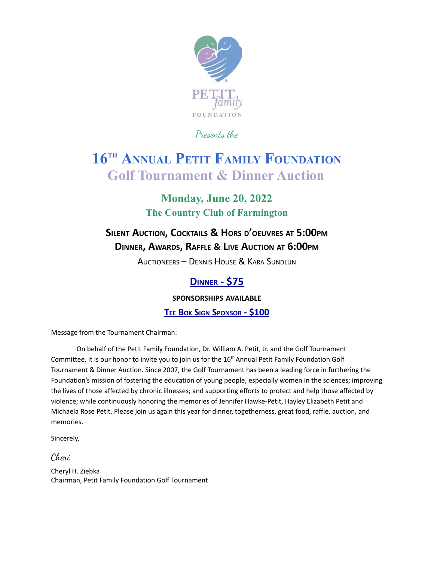

Presents the

## **16 TH ANNUAL PETIT FAMILY FOUNDATION Golf Tournament & Dinner Auction**

### **Monday, June 20, 2022 The Country Club of Farmington**

## **SILENT AUCTION, COCKTAILS & HORS <sup>D</sup>'OEUVRES AT 5:00PM DINNER, AWARDS, RAFFLE & LIVE AUCTION AT 6:00PM**

AUCTIONEERS – DENNIS HOUSE & KARA SUNDLUN

#### **DINNER - \$75**

**SPONSORSHIPS AVAILABLE**

**TEE BOX SIGN SPONSOR - \$100**

Message from the Tournament Chairman:

On behalf of the Petit Family Foundation, Dr. William A. Petit, Jr. and the Golf Tournament Committee, it is our honor to invite you to join us for the 16<sup>th</sup> Annual Petit Family Foundation Golf Tournament & Dinner Auction. Since 2007, the Golf Tournament has been a leading force in furthering the Foundation's mission of fostering the education of young people, especially women in the sciences; improving the lives of those affected by chronic illnesses; and supporting efforts to protect and help those affected by violence; while continuously honoring the memories of Jennifer Hawke-Petit, Hayley Elizabeth Petit and Michaela Rose Petit. Please join us again this year for dinner, togetherness, great food, raffle, auction, and memories.

Sincerely,

Cheri

Cheryl H. Ziebka Chairman, Petit Family Foundation Golf Tournament